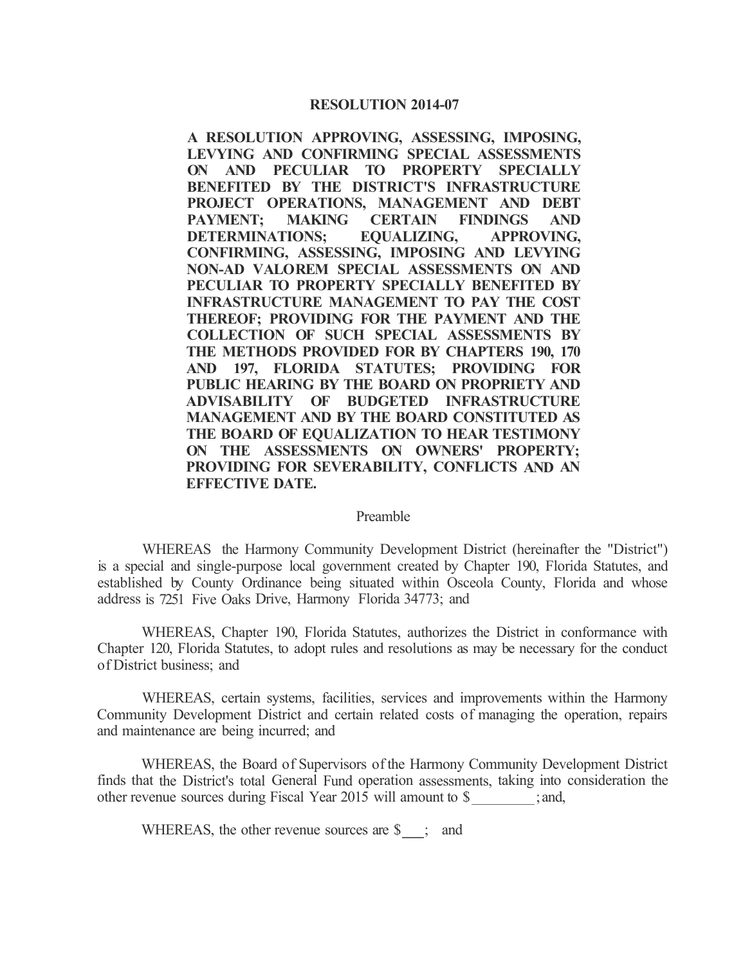## **RESOLUTION 2014-07**

**A RESOLUTION APPROVING, ASSESSING, IMPOSING, LEVYING AND CONFIRMING SPECIAL ASSESSMENTS ON AND PECULIAR TO PROPERTY SPECIALLY BENEFITED BY THE DISTRICT'S INFRASTRUCTURE PROJECT OPERATIONS, MANAGEMENT AND DEBT PAYMENT; MAKING CERTAIN FINDINGS AND DETERMINATIONS; EQUALIZING, APPROVING, CONFIRMING, ASSESSING, IMPOSING AND LEVYING NON-AD V ALOREM SPECIAL ASSESSMENTS ON AND PECULIAR TO PROPERTY SPECIALLY BENEFITED BY INFRASTRUCTURE MANAGEMENT TO PAY THE COST THEREOF; PROVIDING FOR THE PAYMENT AND THE COLLECTION OF SUCH SPECIAL ASSESSMENTS BY THE METHODS PROVIDED FOR BY CHAPTERS 190, 170 AND 197, FLORIDA STATUTES; PROVIDING FOR PUBLIC HEARING BY THE BOARD ON PROPRIETY AND ADVISABILITY OF BUDGETED INFRASTRUCTURE MANAGEMENT AND BY THE BOARD CONSTITUTED AS THE BOARD OF EQUALIZATION TO HEAR TESTIMONY ON THE ASSESSMENTS ON OWNERS' PROPERTY; PROVIDING FOR SEVERABILITY, CONFLICTS AND AN EFFECTIVE DATE.** 

## Preamble

WHEREAS the Harmony Community Development District (hereinafter the "District") is a special and single-purpose local government created by Chapter 190, Florida Statutes, and established by County Ordinance being situated within Osceola County, Florida and whose address is 7251 Five Oaks Drive, Harmony Florida 34773; and

WHEREAS, Chapter 190, Florida Statutes, authorizes the District in conformance with Chapter 120, Florida Statutes, to adopt rules and resolutions as may be necessary for the conduct of District business; and

WHEREAS, certain systems, facilities, services and improvements within the Harmony Community Development District and certain related costs of managing the operation, repairs and maintenance are being incurred; and

WHEREAS, the Board of Supervisors of the Harmony Community Development District finds that the District's total General Fund operation assessments, taking into consideration the other revenue sources during Fiscal Year 2015 will amount to \$ ;and,

WHEREAS, the other revenue sources are  $\$\$ ; and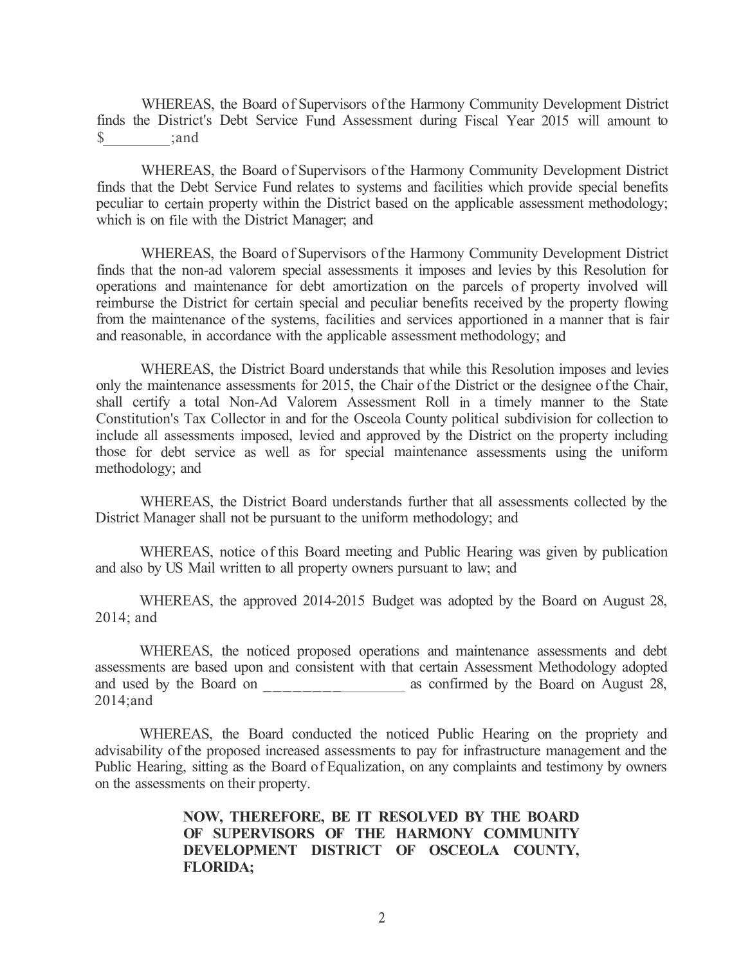WHEREAS, the Board of Supervisors of the Harmony Community Development District finds the District's Debt Service Fund Assessment during Fiscal Year 2015 will amount to \$ ;and

WHEREAS, the Board of Supervisors of the Harmony Community Development District finds that the Debt Service Fund relates to systems and facilities which provide special benefits peculiar to certain property within the District based on the applicable assessment methodology; which is on file with the District Manager; and

WHEREAS, the Board of Supervisors of the Harmony Community Development District finds that the non-ad valorem special assessments it imposes and levies by this Resolution for operations and maintenance for debt amortization on the parcels of property involved will reimburse the District for certain special and peculiar benefits received by the property flowing from the maintenance of the systems, facilities and services apportioned in a manner that is fair and reasonable, in accordance with the applicable assessment methodology; and

WHEREAS, the District Board understands that while this Resolution imposes and levies only the maintenance assessments for 2015, the Chair ofthe District or the designee ofthe Chair, shall certify a total Non-Ad Valorem Assessment Roll in a timely manner to the State Constitution's Tax Collector in and for the Osceola County political subdivision for collection to include all assessments imposed, levied and approved by the District on the property including those for debt service as well as for special maintenance assessments using the uniform methodology; and

WHEREAS, the District Board understands further that all assessments collected by the District Manager shall not be pursuant to the uniform methodology; and

WHEREAS, notice of this Board meeting and Public Hearing was given by publication and also by US Mail written to all property owners pursuant to law; and

WHEREAS, the approved 2014-2015 Budget was adopted by the Board on August 28, 2014; and

WHEREAS, the noticed proposed operations and maintenance assessments and debt assessments are based upon and consistent with that certain Assessment Methodology adopted and used by the Board on  $\alpha$  as confirmed by the Board on August 28, 2014;and

WHEREAS, the Board conducted the noticed Public Hearing on the propriety and advisability of the proposed increased assessments to pay for infrastructure management and the Public Hearing, sitting as the Board of Equalization, on any complaints and testimony by owners on the assessments on their property.

> **NOW, THEREFORE, BE IT RESOLVED BY THE BOARD OF SUPERVISORS OF THE HARMONY COMMUNITY DEVELOPMENT DISTRICT OF OSCEOLA COUNTY, FLORIDA;**